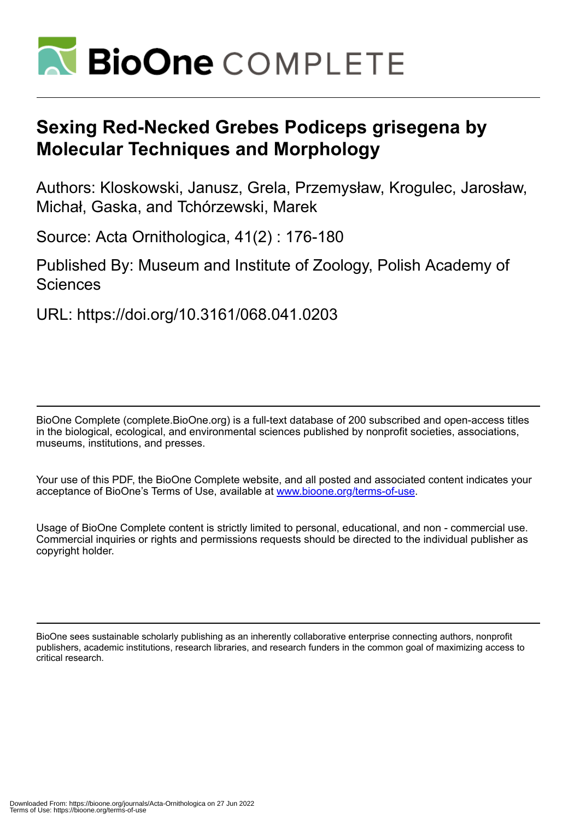

# **Sexing Red-Necked Grebes Podiceps grisegena by Molecular Techniques and Morphology**

Authors: Kloskowski, Janusz, Grela, Przemysław, Krogulec, Jarosław, Michał, Gaska, and Tchórzewski, Marek

Source: Acta Ornithologica, 41(2) : 176-180

Published By: Museum and Institute of Zoology, Polish Academy of **Sciences** 

URL: https://doi.org/10.3161/068.041.0203

BioOne Complete (complete.BioOne.org) is a full-text database of 200 subscribed and open-access titles in the biological, ecological, and environmental sciences published by nonprofit societies, associations, museums, institutions, and presses.

Your use of this PDF, the BioOne Complete website, and all posted and associated content indicates your acceptance of BioOne's Terms of Use, available at www.bioone.org/terms-of-use.

Usage of BioOne Complete content is strictly limited to personal, educational, and non - commercial use. Commercial inquiries or rights and permissions requests should be directed to the individual publisher as copyright holder.

BioOne sees sustainable scholarly publishing as an inherently collaborative enterprise connecting authors, nonprofit publishers, academic institutions, research libraries, and research funders in the common goal of maximizing access to critical research.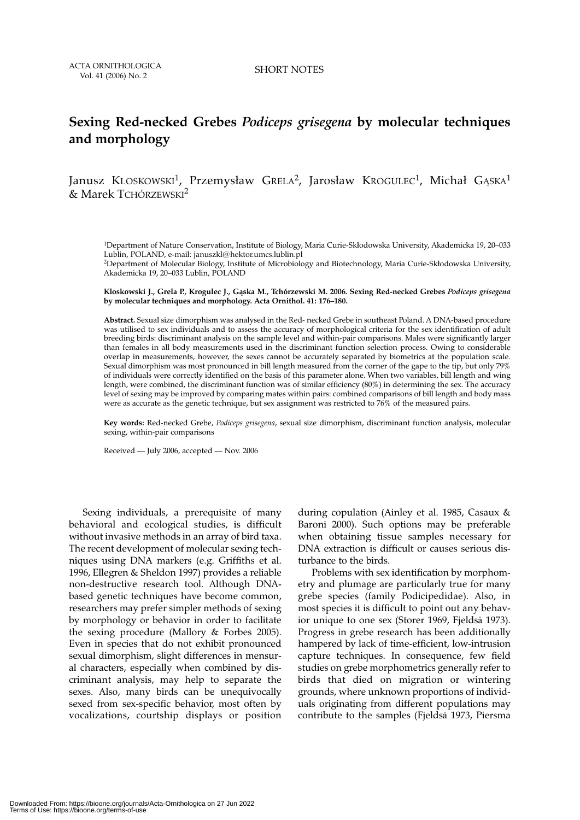SHORT NOTES

## **Sexing Red-necked Grebes** *Podiceps grisegena* **by molecular techniques and morphology**

Janusz KLOSKOWSKI<sup>1</sup>, Przemysław Grela<sup>2</sup>, Jarosław Krogulec<sup>1</sup>, Michał GASKA<sup>1</sup> & Marek TCHÓRZEWSKI2

1Department of Nature Conservation, Institute of Biology, Maria Curie-Skłodowska University, Akademicka 19, 20–033 Lublin, POLAND, e-mail: januszkl@hektor.umcs.lublin.pl

2Department of Molecular Biology, Institute of Microbiology and Biotechnology, Maria Curie-Skłodowska University, Akademicka 19, 20–033 Lublin, POLAND

**Kloskowski J., Grela P., Krogulec J., Gąska M., Tchórzewski M. 2006. Sexing Red-necked Grebes** *Podiceps grisegena* **by molecular techniques and morphology. Acta Ornithol. 41: 176–180.**

**Abstract.** Sexual size dimorphism was analysed in the Red- necked Grebe in southeast Poland. A DNA-based procedure was utilised to sex individuals and to assess the accuracy of morphological criteria for the sex identification of adult breeding birds: discriminant analysis on the sample level and within-pair comparisons. Males were significantly larger than females in all body measurements used in the discriminant function selection process. Owing to considerable overlap in measurements, however, the sexes cannot be accurately separated by biometrics at the population scale. Sexual dimorphism was most pronounced in bill length measured from the corner of the gape to the tip, but only 79% of individuals were correctly identified on the basis of this parameter alone. When two variables, bill length and wing length, were combined, the discriminant function was of similar efficiency (80%) in determining the sex. The accuracy level of sexing may be improved by comparing mates within pairs: combined comparisons of bill length and body mass were as accurate as the genetic technique, but sex assignment was restricted to 76% of the measured pairs.

**Key words:** Red-necked Grebe, *Podiceps grisegena*, sexual size dimorphism, discriminant function analysis, molecular sexing, within-pair comparisons

Received — July 2006, accepted — Nov. 2006

Sexing individuals, a prerequisite of many behavioral and ecological studies, is difficult without invasive methods in an array of bird taxa. The recent development of molecular sexing techniques using DNA markers (e.g. Griffiths et al. 1996, Ellegren & Sheldon 1997) provides a reliable non-destructive research tool. Although DNAbased genetic techniques have become common, researchers may prefer simpler methods of sexing by morphology or behavior in order to facilitate the sexing procedure (Mallory & Forbes 2005). Even in species that do not exhibit pronounced sexual dimorphism, slight differences in mensural characters, especially when combined by discriminant analysis, may help to separate the sexes. Also, many birds can be unequivocally sexed from sex-specific behavior, most often by vocalizations, courtship displays or position

during copulation (Ainley et al. 1985, Casaux & Baroni 2000). Such options may be preferable when obtaining tissue samples necessary for DNA extraction is difficult or causes serious disturbance to the birds.

Problems with sex identification by morphometry and plumage are particularly true for many grebe species (family Podicipedidae). Also, in most species it is difficult to point out any behavior unique to one sex (Storer 1969, Fjeldså 1973). Progress in grebe research has been additionally hampered by lack of time-efficient, low-intrusion capture techniques. In consequence, few field studies on grebe morphometrics generally refer to birds that died on migration or wintering grounds, where unknown proportions of individuals originating from different populations may contribute to the samples (Fjeldså 1973, Piersma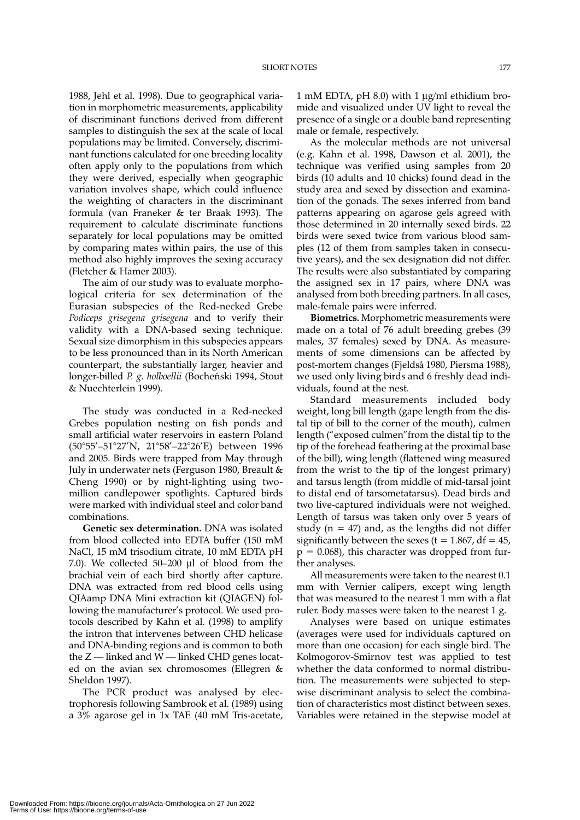1988, Jehl et al. 1998). Due to geographical variation in morphometric measurements, applicability of discriminant functions derived from different samples to distinguish the sex at the scale of local populations may be limited. Conversely, discriminant functions calculated for one breeding locality often apply only to the populations from which they were derived, especially when geographic variation involves shape, which could influence the weighting of characters in the discriminant formula (van Franeker & ter Braak 1993). The requirement to calculate discriminate functions separately for local populations may be omitted by comparing mates within pairs, the use of this method also highly improves the sexing accuracy (Fletcher & Hamer 2003).

The aim of our study was to evaluate morphological criteria for sex determination of the Eurasian subspecies of the Red-necked Grebe *Podiceps grisegena grisegena* and to verify their validity with a DNA-based sexing technique. Sexual size dimorphism in this subspecies appears to be less pronounced than in its North American counterpart, the substantially larger, heavier and longer-billed *P. g. holboellii* (Bocheński 1994, Stout & Nuechterlein 1999).

The study was conducted in a Red-necked Grebes population nesting on fish ponds and small artificial water reservoirs in eastern Poland (50°55'–51°27'N, 21°58'–22°26'E) between 1996 and 2005. Birds were trapped from May through July in underwater nets (Ferguson 1980, Breault & Cheng 1990) or by night-lighting using twomillion candlepower spotlights. Captured birds were marked with individual steel and color band combinations.

**Genetic sex determination.** DNA was isolated from blood collected into EDTA buffer (150 mM NaCl, 15 mM trisodium citrate, 10 mM EDTA pH 7.0). We collected 50–200 μl of blood from the brachial vein of each bird shortly after capture. DNA was extracted from red blood cells using QIAamp DNA Mini extraction kit (QIAGEN) following the manufacturer's protocol. We used protocols described by Kahn et al. (1998) to amplify the intron that intervenes between CHD helicase and DNA-binding regions and is common to both the  $Z$  — linked and  $W$  — linked CHD genes located on the avian sex chromosomes (Ellegren & Sheldon 1997).

The PCR product was analysed by electrophoresis following Sambrook et al. (1989) using a 3% agarose gel in 1x TAE (40 mM Tris-acetate, 1 mM EDTA, pH 8.0) with 1 μg/ml ethidium bromide and visualized under UV light to reveal the presence of a single or a double band representing male or female, respectively.

As the molecular methods are not universal (e.g. Kahn et al. 1998, Dawson et al. 2001), the technique was verified using samples from 20 birds (10 adults and 10 chicks) found dead in the study area and sexed by dissection and examination of the gonads. The sexes inferred from band patterns appearing on agarose gels agreed with those determined in 20 internally sexed birds. 22 birds were sexed twice from various blood samples (12 of them from samples taken in consecutive years), and the sex designation did not differ. The results were also substantiated by comparing the assigned sex in 17 pairs, where DNA was analysed from both breeding partners. In all cases, male-female pairs were inferred.

**Biometrics.** Morphometric measurements were made on a total of 76 adult breeding grebes (39 males, 37 females) sexed by DNA. As measurements of some dimensions can be affected by post-mortem changes (Fjeldså 1980, Piersma 1988), we used only living birds and 6 freshly dead individuals, found at the nest.

Standard measurements included body weight, long bill length (gape length from the distal tip of bill to the corner of the mouth), culmen length ("exposed culmen"from the distal tip to the tip of the forehead feathering at the proximal base of the bill), wing length (flattened wing measured from the wrist to the tip of the longest primary) and tarsus length (from middle of mid-tarsal joint to distal end of tarsometatarsus). Dead birds and two live-captured individuals were not weighed. Length of tarsus was taken only over 5 years of study ( $n = 47$ ) and, as the lengths did not differ significantly between the sexes ( $t = 1.867$ , df = 45,  $p = 0.068$ ), this character was dropped from further analyses.

All measurements were taken to the nearest 0.1 mm with Vernier calipers, except wing length that was measured to the nearest 1 mm with a flat ruler. Body masses were taken to the nearest 1 g.

Analyses were based on unique estimates (averages were used for individuals captured on more than one occasion) for each single bird. The Kolmogorov-Smirnov test was applied to test whether the data conformed to normal distribution. The measurements were subjected to stepwise discriminant analysis to select the combination of characteristics most distinct between sexes. Variables were retained in the stepwise model at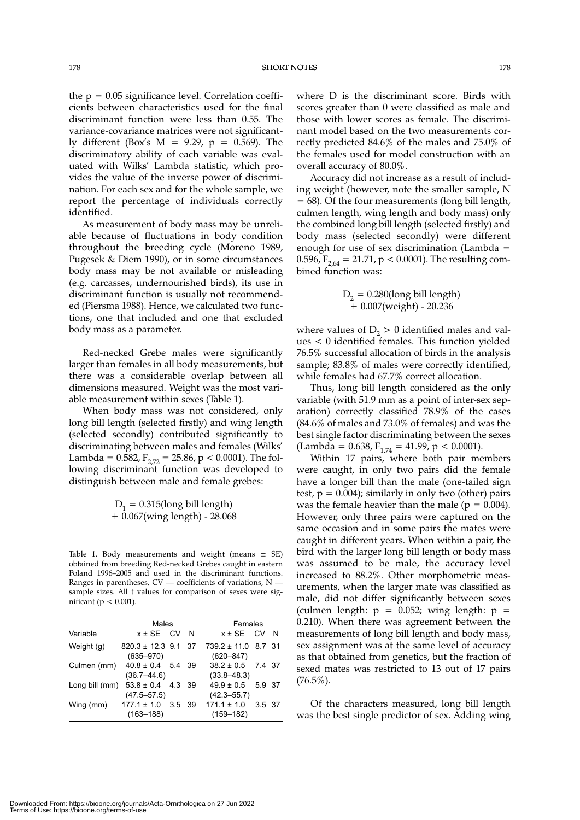the  $p = 0.05$  significance level. Correlation coefficients between characteristics used for the final discriminant function were less than 0.55. The variance-covariance matrices were not significantly different (Box's M = 9.29, p = 0.569). The discriminatory ability of each variable was evaluated with Wilks' Lambda statistic, which provides the value of the inverse power of discrimination. For each sex and for the whole sample, we report the percentage of individuals correctly identified.

As measurement of body mass may be unreliable because of fluctuations in body condition throughout the breeding cycle (Moreno 1989, Pugesek & Diem 1990), or in some circumstances body mass may be not available or misleading (e.g. carcasses, undernourished birds), its use in discriminant function is usually not recommended (Piersma 1988). Hence, we calculated two functions, one that included and one that excluded body mass as a parameter.

Red-necked Grebe males were significantly larger than females in all body measurements, but there was a considerable overlap between all dimensions measured. Weight was the most variable measurement within sexes (Table 1).

When body mass was not considered, only long bill length (selected firstly) and wing length (selected secondly) contributed significantly to discriminating between males and females (Wilks' Lambda =  $0.582$ ,  $F_{2,72} = 25.86$ , p < 0.0001). The following discriminant function was developed to distinguish between male and female grebes:

> $D_1 = 0.315$ (long bill length) + 0.067(wing length) - 28.068

Table 1. Body measurements and weight (means  $\pm$  SE) obtained from breeding Red-necked Grebes caught in eastern Poland 1996–2005 and used in the discriminant functions. Ranges in parentheses, CV — coefficients of variations, N sample sizes. All t values for comparison of sexes were significant ( $p < 0.001$ ).

|                | Males                                    |        |  | Females                                  |        |     |
|----------------|------------------------------------------|--------|--|------------------------------------------|--------|-----|
| Variable       | $\bar{x}$ ± SE CV N                      |        |  | $\bar{x}$ + SE CV                        |        | - N |
| Weight (g)     | $820.3 \pm 12.3$ 9.1 37<br>$(635 - 970)$ |        |  | $739.2 \pm 11.0$ 8.7 31<br>$(620 - 847)$ |        |     |
| Culmen (mm)    | $40.8 \pm 0.4$ 5.4 39<br>$(36.7 - 44.6)$ |        |  | $38.2 \pm 0.5$ 7.4 37<br>$(33.8 - 48.3)$ |        |     |
| Long bill (mm) | $53.8 \pm 0.4$ 4.3 39<br>$(47.5 - 57.5)$ |        |  | $49.9 \pm 0.5$<br>$(42.3 - 55.7)$        | 5.9 37 |     |
| Wing (mm)      | $177.1 \pm 1.0$<br>$(163 - 188)$         | 3.5 39 |  | $171.1 \pm 1.0$<br>$(159 - 182)$         | 3.5 37 |     |

where D is the discriminant score. Birds with scores greater than 0 were classified as male and those with lower scores as female. The discriminant model based on the two measurements correctly predicted 84.6% of the males and 75.0% of the females used for model construction with an overall accuracy of 80.0%.

Accuracy did not increase as a result of including weight (however, note the smaller sample, N = 68). Of the four measurements (long bill length, culmen length, wing length and body mass) only the combined long bill length (selected firstly) and body mass (selected secondly) were different enough for use of sex discrimination (Lambda = 0.596,  $F_{2.64} = 21.71$ , p < 0.0001). The resulting combined function was:

$$
D_2 = 0.280
$$
(long bill length)  
+ 0.007(weight) - 20.236

where values of  $D<sub>2</sub> > 0$  identified males and values < 0 identified females. This function yielded 76.5% successful allocation of birds in the analysis sample; 83.8% of males were correctly identified, while females had 67.7% correct allocation.

Thus, long bill length considered as the only variable (with 51.9 mm as a point of inter-sex separation) correctly classified 78.9% of the cases (84.6% of males and 73.0% of females) and was the best single factor discriminating between the sexes  $(Lambda = 0.638, F<sub>1.74</sub> = 41.99, p < 0.0001).$ 

Within 17 pairs, where both pair members were caught, in only two pairs did the female have a longer bill than the male (one-tailed sign test,  $p = 0.004$ ); similarly in only two (other) pairs was the female heavier than the male ( $p = 0.004$ ). However, only three pairs were captured on the same occasion and in some pairs the mates were caught in different years. When within a pair, the bird with the larger long bill length or body mass was assumed to be male, the accuracy level increased to 88.2%. Other morphometric measurements, when the larger mate was classified as male, did not differ significantly between sexes (culmen length:  $p = 0.052$ ; wing length:  $p =$ 0.210). When there was agreement between the measurements of long bill length and body mass, sex assignment was at the same level of accuracy as that obtained from genetics, but the fraction of sexed mates was restricted to 13 out of 17 pairs  $(76.5\%)$ .

Of the characters measured, long bill length was the best single predictor of sex. Adding wing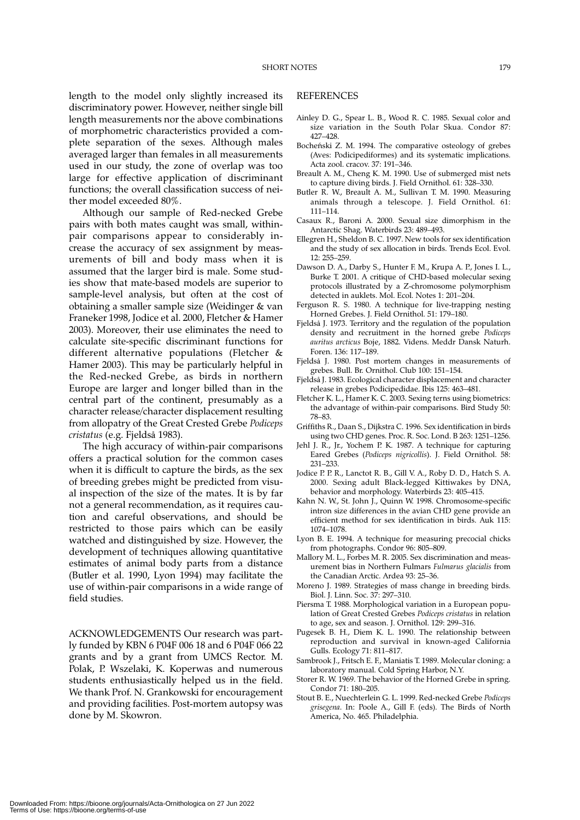length to the model only slightly increased its discriminatory power. However, neither single bill length measurements nor the above combinations of morphometric characteristics provided a complete separation of the sexes. Although males averaged larger than females in all measurements used in our study, the zone of overlap was too large for effective application of discriminant functions; the overall classification success of neither model exceeded 80%.

Although our sample of Red-necked Grebe pairs with both mates caught was small, withinpair comparisons appear to considerably increase the accuracy of sex assignment by measurements of bill and body mass when it is assumed that the larger bird is male. Some studies show that mate-based models are superior to sample-level analysis, but often at the cost of obtaining a smaller sample size (Weidinger & van Franeker 1998, Jodice et al. 2000, Fletcher & Hamer 2003). Moreover, their use eliminates the need to calculate site-specific discriminant functions for different alternative populations (Fletcher & Hamer 2003). This may be particularly helpful in the Red-necked Grebe, as birds in northern Europe are larger and longer billed than in the central part of the continent, presumably as a character release/character displacement resulting from allopatry of the Great Crested Grebe *Podiceps cristatus* (e.g. Fjeldså 1983).

The high accuracy of within-pair comparisons offers a practical solution for the common cases when it is difficult to capture the birds, as the sex of breeding grebes might be predicted from visual inspection of the size of the mates. It is by far not a general recommendation, as it requires caution and careful observations, and should be restricted to those pairs which can be easily watched and distinguished by size. However, the development of techniques allowing quantitative estimates of animal body parts from a distance (Butler et al. 1990, Lyon 1994) may facilitate the use of within-pair comparisons in a wide range of field studies.

ACKNOWLEDGEMENTS Our research was partly funded by KBN 6 P04F 006 18 and 6 P04F 066 22 grants and by a grant from UMCS Rector. M. Polak, P. Wszelaki, K. Koperwas and numerous students enthusiastically helped us in the field. We thank Prof. N. Grankowski for encouragement and providing facilities. Post-mortem autopsy was done by M. Skowron.

#### **REFERENCES**

- Ainley D. G., Spear L. B., Wood R. C. 1985. Sexual color and size variation in the South Polar Skua. Condor 87: 427–428.
- Bocheński Z. M. 1994. The comparative osteology of grebes (Aves: Podicipediformes) and its systematic implications. Acta zool. cracov. 37: 191–346.
- Breault A. M., Cheng K. M. 1990. Use of submerged mist nets to capture diving birds. J. Field Ornithol. 61: 328–330.
- Butler R. W., Breault A. M., Sullivan T. M. 1990. Measuring animals through a telescope. J. Field Ornithol. 61: 111–114.
- Casaux R., Baroni A. 2000. Sexual size dimorphism in the Antarctic Shag. Waterbirds 23: 489–493.
- Ellegren H., Sheldon B. C. 1997. New tools for sex identification and the study of sex allocation in birds. Trends Ecol. Evol. 12: 255–259.
- Dawson D. A., Darby S., Hunter F. M., Krupa A. P., Jones I. L., Burke T. 2001. A critique of CHD-based molecular sexing protocols illustrated by a Z-chromosome polymorphism detected in auklets. Mol. Ecol. Notes 1: 201–204.
- Ferguson R. S. 1980. A technique for live-trapping nesting Horned Grebes. J. Field Ornithol. 51: 179–180.
- Fjeldså J. 1973. Territory and the regulation of the population density and recruitment in the horned grebe *Podiceps auritus arcticus* Boje, 1882. Videns. Meddr Dansk Naturh. Foren. 136: 117–189.
- Fjeldså J. 1980. Post mortem changes in measurements of grebes. Bull. Br. Ornithol. Club 100: 151–154.
- Fjeldså J. 1983. Ecological character displacement and character release in grebes Podicipedidae. Ibis 125: 463–481.
- Fletcher K. L., Hamer K. C. 2003. Sexing terns using biometrics: the advantage of within-pair comparisons. Bird Study 50: 78–83.
- Griffiths R., Daan S., Dijkstra C. 1996. Sex identification in birds using two CHD genes. Proc. R. Soc. Lond. B 263: 1251–1256.
- Jehl J. R., Jr., Yochem P. K. 1987. A technique for capturing Eared Grebes (*Podiceps nigricollis*). J. Field Ornithol. 58: 231–233.
- Jodice P. P. R., Lanctot R. B., Gill V. A., Roby D. D., Hatch S. A. 2000. Sexing adult Black-legged Kittiwakes by DNA, behavior and morphology. Waterbirds 23: 405–415.
- Kahn N. W., St. John J., Quinn W. 1998. Chromosome-specific intron size differences in the avian CHD gene provide an efficient method for sex identification in birds. Auk 115: 1074–1078.
- Lyon B. E. 1994. A technique for measuring precocial chicks from photographs. Condor 96: 805–809.
- Mallory M. L., Forbes M. R. 2005. Sex discrimination and measurement bias in Northern Fulmars *Fulmarus glacialis* from the Canadian Arctic. Ardea 93: 25–36.
- Moreno J. 1989. Strategies of mass change in breeding birds. Biol. J. Linn. Soc. 37: 297–310.
- Piersma T. 1988. Morphological variation in a European population of Great Crested Grebes *Podiceps cristatus* in relation to age, sex and season. J. Ornithol. 129: 299–316.
- Pugesek B. H., Diem K. L. 1990. The relationship between reproduction and survival in known-aged California Gulls. Ecology 71: 811–817.
- Sambrook J., Fritsch E. F., Maniatis T. 1989. Molecular cloning: a laboratory manual. Cold Spring Harbor, N.Y.
- Storer R. W. 1969. The behavior of the Horned Grebe in spring. Condor 71: 180–205.
- Stout B. E., Nuechterlein G. L. 1999. Red-necked Grebe *Podiceps grisegena*. In: Poole A., Gill F. (eds). The Birds of North America, No. 465. Philadelphia.